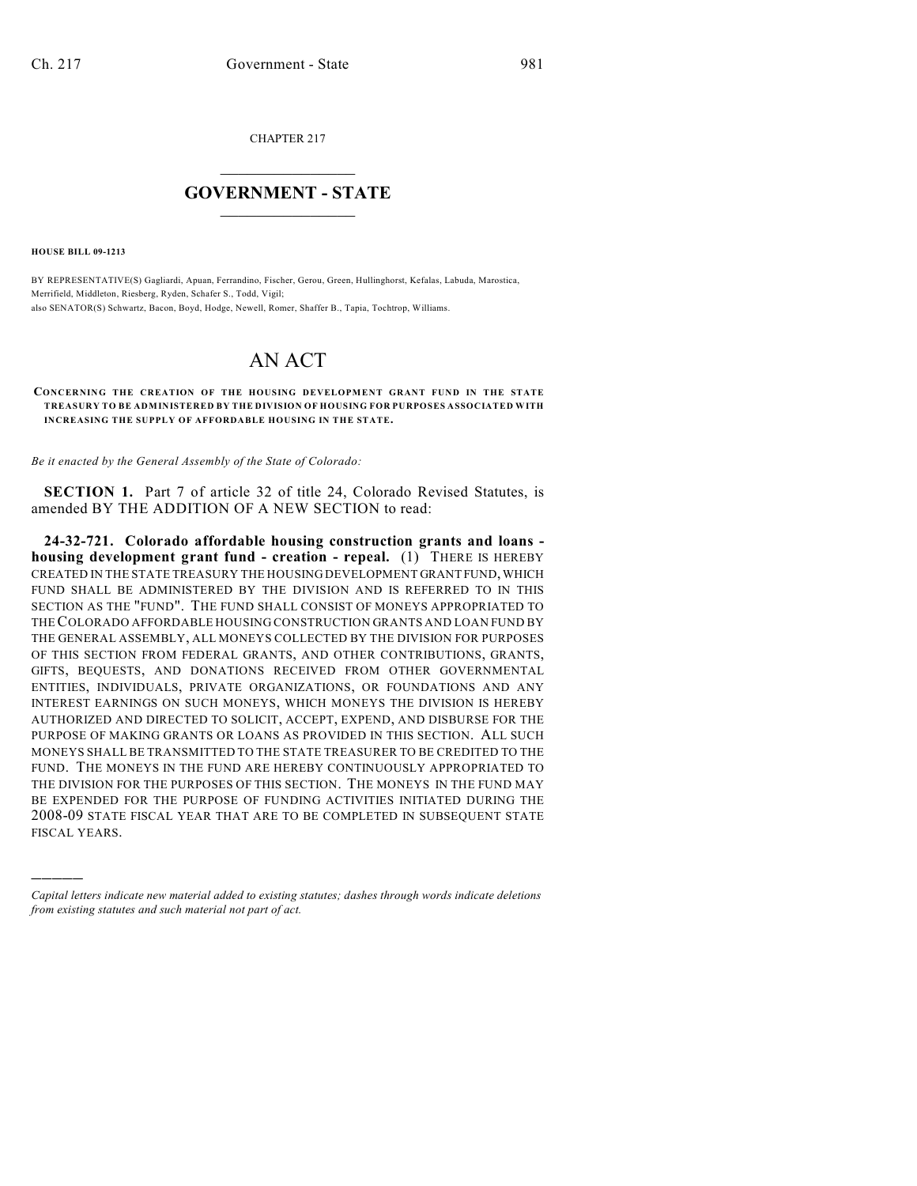CHAPTER 217

## $\mathcal{L}_\text{max}$  . The set of the set of the set of the set of the set of the set of the set of the set of the set of the set of the set of the set of the set of the set of the set of the set of the set of the set of the set **GOVERNMENT - STATE**  $\_$   $\_$   $\_$   $\_$   $\_$   $\_$   $\_$   $\_$   $\_$

**HOUSE BILL 09-1213**

)))))

BY REPRESENTATIVE(S) Gagliardi, Apuan, Ferrandino, Fischer, Gerou, Green, Hullinghorst, Kefalas, Labuda, Marostica, Merrifield, Middleton, Riesberg, Ryden, Schafer S., Todd, Vigil; also SENATOR(S) Schwartz, Bacon, Boyd, Hodge, Newell, Romer, Shaffer B., Tapia, Tochtrop, Williams.

## AN ACT

## **CONCERNING THE CREATION OF THE HOUSING DEVELOPMENT GRANT FUND IN THE STATE TREASURY TO BE ADMINISTERED BY THE DIVISION OF HOUSING FOR PURPOSES ASSOCIATED WITH INCREASING THE SUPPLY OF AFFORDABLE HOUSING IN THE STATE.**

*Be it enacted by the General Assembly of the State of Colorado:*

**SECTION 1.** Part 7 of article 32 of title 24, Colorado Revised Statutes, is amended BY THE ADDITION OF A NEW SECTION to read:

**24-32-721. Colorado affordable housing construction grants and loans housing development grant fund - creation - repeal.** (1) THERE IS HEREBY CREATED IN THE STATE TREASURY THE HOUSING DEVELOPMENT GRANT FUND, WHICH FUND SHALL BE ADMINISTERED BY THE DIVISION AND IS REFERRED TO IN THIS SECTION AS THE "FUND". THE FUND SHALL CONSIST OF MONEYS APPROPRIATED TO THE COLORADO AFFORDABLE HOUSING CONSTRUCTION GRANTS AND LOAN FUND BY THE GENERAL ASSEMBLY, ALL MONEYS COLLECTED BY THE DIVISION FOR PURPOSES OF THIS SECTION FROM FEDERAL GRANTS, AND OTHER CONTRIBUTIONS, GRANTS, GIFTS, BEQUESTS, AND DONATIONS RECEIVED FROM OTHER GOVERNMENTAL ENTITIES, INDIVIDUALS, PRIVATE ORGANIZATIONS, OR FOUNDATIONS AND ANY INTEREST EARNINGS ON SUCH MONEYS, WHICH MONEYS THE DIVISION IS HEREBY AUTHORIZED AND DIRECTED TO SOLICIT, ACCEPT, EXPEND, AND DISBURSE FOR THE PURPOSE OF MAKING GRANTS OR LOANS AS PROVIDED IN THIS SECTION. ALL SUCH MONEYS SHALL BE TRANSMITTED TO THE STATE TREASURER TO BE CREDITED TO THE FUND. THE MONEYS IN THE FUND ARE HEREBY CONTINUOUSLY APPROPRIATED TO THE DIVISION FOR THE PURPOSES OF THIS SECTION. THE MONEYS IN THE FUND MAY BE EXPENDED FOR THE PURPOSE OF FUNDING ACTIVITIES INITIATED DURING THE 2008-09 STATE FISCAL YEAR THAT ARE TO BE COMPLETED IN SUBSEQUENT STATE FISCAL YEARS.

*Capital letters indicate new material added to existing statutes; dashes through words indicate deletions from existing statutes and such material not part of act.*